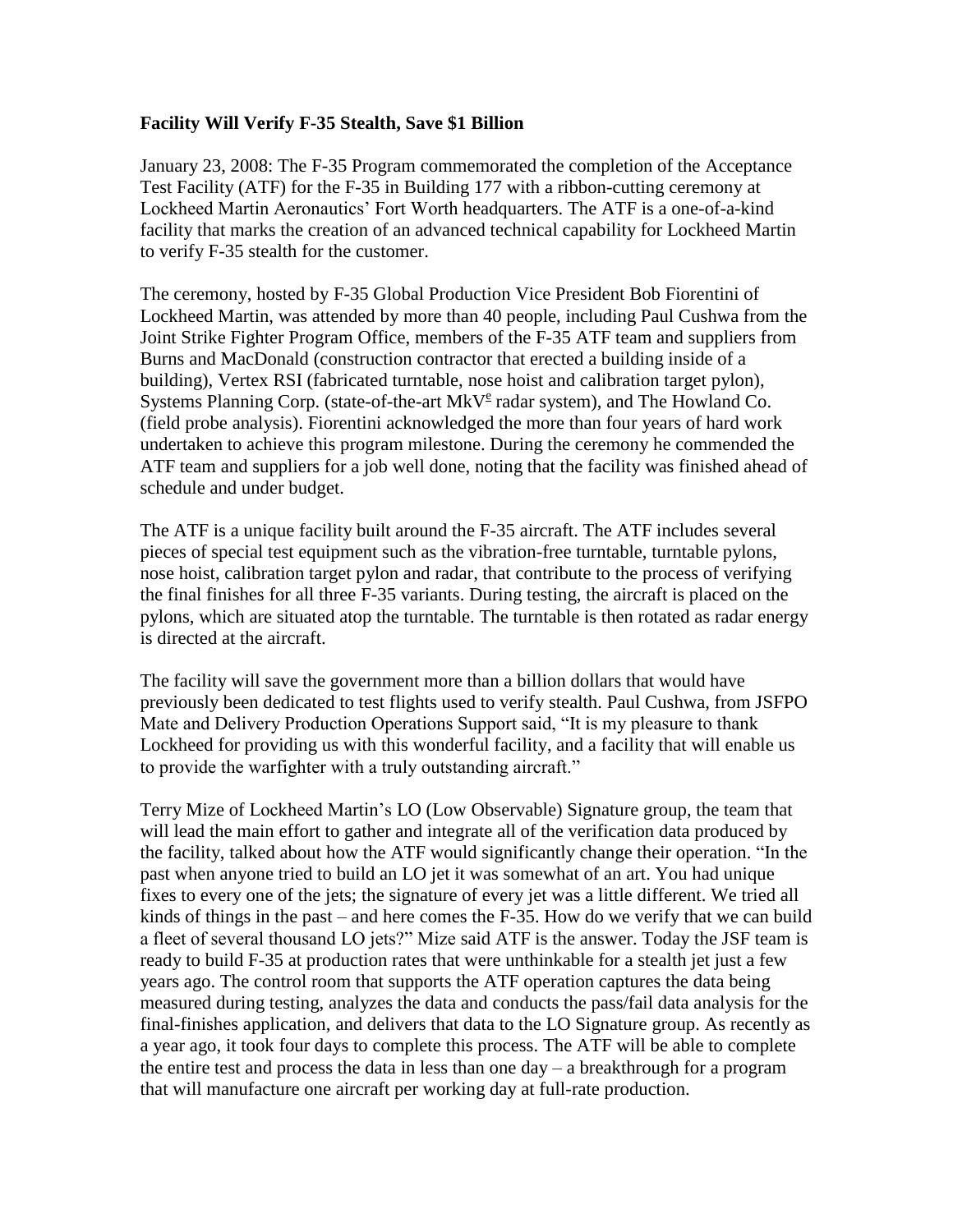## **Facility Will Verify F-35 Stealth, Save \$1 Billion**

January 23, 2008: The F-35 Program commemorated the completion of the Acceptance Test Facility (ATF) for the F-35 in Building 177 with a ribbon-cutting ceremony at Lockheed Martin Aeronautics' Fort Worth headquarters. The ATF is a one-of-a-kind facility that marks the creation of an advanced technical capability for Lockheed Martin to verify F-35 stealth for the customer.

The ceremony, hosted by F-35 Global Production Vice President Bob Fiorentini of Lockheed Martin, was attended by more than 40 people, including Paul Cushwa from the Joint Strike Fighter Program Office, members of the F-35 ATF team and suppliers from Burns and MacDonald (construction contractor that erected a building inside of a building), Vertex RSI (fabricated turntable, nose hoist and calibration target pylon), Systems Planning Corp. (state-of-the-art MkV<sup>e</sup> radar system), and The Howland Co. (field probe analysis). Fiorentini acknowledged the more than four years of hard work undertaken to achieve this program milestone. During the ceremony he commended the ATF team and suppliers for a job well done, noting that the facility was finished ahead of schedule and under budget.

The ATF is a unique facility built around the F-35 aircraft. The ATF includes several pieces of special test equipment such as the vibration-free turntable, turntable pylons, nose hoist, calibration target pylon and radar, that contribute to the process of verifying the final finishes for all three F-35 variants. During testing, the aircraft is placed on the pylons, which are situated atop the turntable. The turntable is then rotated as radar energy is directed at the aircraft.

The facility will save the government more than a billion dollars that would have previously been dedicated to test flights used to verify stealth. Paul Cushwa, from JSFPO Mate and Delivery Production Operations Support said, "It is my pleasure to thank Lockheed for providing us with this wonderful facility, and a facility that will enable us to provide the warfighter with a truly outstanding aircraft."

Terry Mize of Lockheed Martin's LO (Low Observable) Signature group, the team that will lead the main effort to gather and integrate all of the verification data produced by the facility, talked about how the ATF would significantly change their operation. "In the past when anyone tried to build an LO jet it was somewhat of an art. You had unique fixes to every one of the jets; the signature of every jet was a little different. We tried all kinds of things in the past – and here comes the F-35. How do we verify that we can build a fleet of several thousand LO jets?" Mize said ATF is the answer. Today the JSF team is ready to build F-35 at production rates that were unthinkable for a stealth jet just a few years ago. The control room that supports the ATF operation captures the data being measured during testing, analyzes the data and conducts the pass/fail data analysis for the final-finishes application, and delivers that data to the LO Signature group. As recently as a year ago, it took four days to complete this process. The ATF will be able to complete the entire test and process the data in less than one  $day - a$  breakthrough for a program that will manufacture one aircraft per working day at full-rate production.